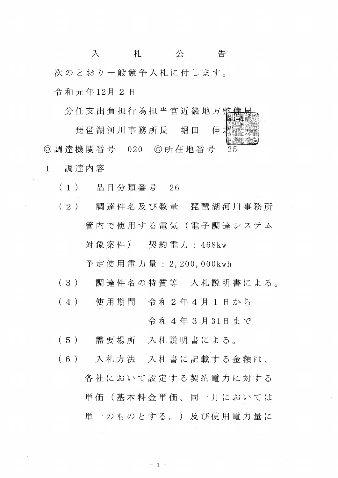入 札 公 告 次のとおり一般競争入札に付します。 令和元年12月2日

分任支出負担行為担当官近畿地方整

琵琶湖河川事務所長 伸 堀 田 ◎調達機関番号 020 ◎所在地番号  $25$ 調達内容  $\mathbf{1}$ 

品目分類番号 26  $(1)$ 

(2) 調達件名及び数量 琵琶湖河川事務所 管内で使用する電気(電子調達システム 契約電力: 468kw 対象案件)

予定使用電力量: 2, 200, 000kwh

- 調達件名の特質等 入札説明書による。  $(3)$
- $(4)$ 使用期間 令和2年4月1日から

令和4年3月31日まで

- 需要場所 入札説明書による。  $(5)$
- 入札方法 入札書に記載する金額は、  $(6)$ 各社において設定する契約電力に対する 単価(基本料金単価、同一月においては 単一のものとする。)及び使用電力量に

 $-1 -$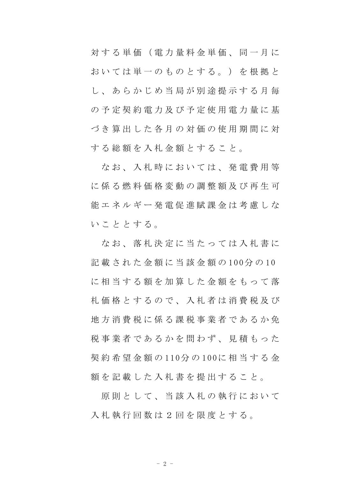対する単価 (電力量料金単価、同一月に お い て は 単 一 の も の と す る 。 ) を 根 拠 と し 、 あ ら か じ め 当 局 が 別 途 提 示 す る 月 毎 の 予 定 契 約 電 力 及 び 予 定 使 用 電 力 量 に 基 づ き 算 出 し た 各 月 の 対 価 の 使 用 期 間 に 対 する総額を入札金額とすること。

なお、入札時においては、発電費用等 に 係 る 燃 料 価 格 変 動 の 調 整 額 及 び 再 生 可 能エネルギー発電促進賦課金は考慮しな い こ と と す る。

な お 、 落 札 決 定 に 当 た っ て は 入 札 書 に 記 載 さ れ た 金 額 に 当 該 金 額 の 100分 の 10 に 相 当 す る 額 を 加 算 し た 金 額 を も っ て 落 札 価 格 と す る の で 、 入 札 者 は 消 費 税 及 び 地 方 消 費 税 に 係 る 課 税 事 業 者 で あ る か 免 税事業者であるかを問わず、見積もった 契 約 希 望 金 額 の 110分 の 100に 相 当 す る 金 額を記載した入札書を提出すること。

原則として、当該入札の執行において 入札執行回数は2回を限度とする。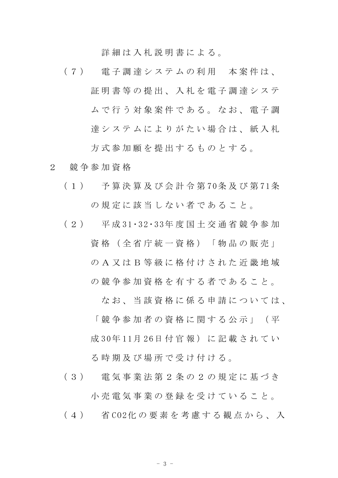詳細は入札説明書による。

- (7) 電子調達システムの利用 本案件は、 証明書等の提出、入札を電子調達システ ム で 行 う 対 象 案 件 で あ る 。 な お 、 電 子 調 達システムによりがたい場合は、紙入札 方 式 参 加 願 を 提 出 す る も の と す る 。
- 2 競 争 参 加 資 格
	- ( 1 ) 予 算 決 算 及 び 会 計 令 第 70条 及 び 第 71条 の 規 定 に 該 当 し な い 者 で あ る こ と 。
	- ( 2 ) 平 成 31・32・33年 度 国 土 交 通 省 競 争 参 加 資格 (全省庁統一資格) 「物品の販売」
		- の A 又 は B 等 級 に 格 付 け さ れ た 近 畿 地 域
		- の 競 争 参 加 資 格 を 有 す る 者 で あ る こ と 。

なお、 当 該 資 格 に 係 る 申 請 に つ い て は 、

「 競 争 参 加 者 の 資 格 に 関 す る 公 示 」 ( 平 成 30年 11月 26日 付 官 報) に 記 載 さ れ て い る 時 期 及 び 場 所 で 受 け 付 け る 。

- ( 3 ) 電 気 事 業 法 第 2 条 の 2 の 規 定 に 基 づ き 小 売 電 気 事 業 の 登 録 を 受 け て い る こ と 。
- ( 4 ) 省 CO2化 の 要 素 を 考 慮 す る 観 点 か ら 、 入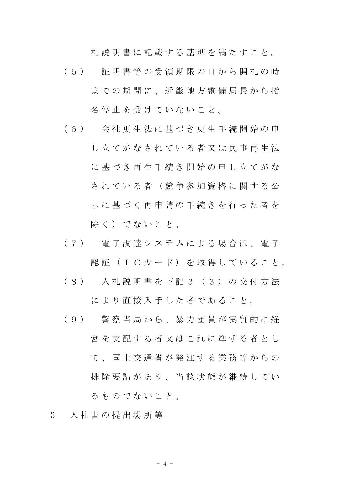札 説 明 書 に 記 載 す る 基 準 を 満 た す こ と 。

- ( 5 ) 証 明 書 等 の 受 領 期 限 の 日 か ら 開 札 の 時 までの期間に、近畿地方整備局長から指 名停止を受けていないこと。
- ( 6 ) 会 社 更 生 法 に 基 づ き 更 生 手 続 開 始 の 申 し立てがなされている者又は民事再生法 に基づき再生手続き開始の申し立てがな されている者(競争参加資格に関する公 示に基づく再申請の手続きを行った者を 除く) でないこと。
- ( 7 ) 電 子 調 達 シ ス テ ム に よ る 場 合 は 、 電 子 認証 (ICカード) を取得していること。
- ( 8 ) 入 札 説 明 書 を 下 記 3 ( 3 ) の 交 付 方 法 により直接入手した者であること。
- ( 9 ) 警 察 当 局 か ら 、 暴 力 団 員 が 実 質 的 に 経 営を支配する者又はこれに準ずる者とし て、国土交通省が発注する業務等からの 排除要請があり、当該状態が継続してい る も の で な い こ と 。
- 3 入 札 書 の 提 出 場 所 等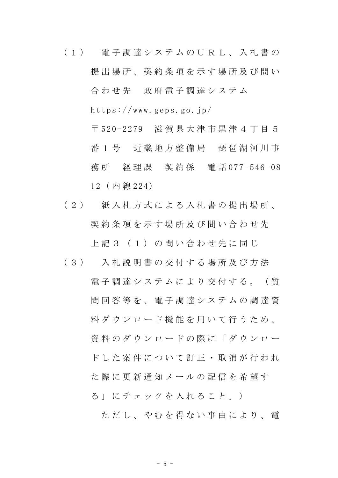- ( 1 ) 電 子 調 達 シ ス テ ム の U R L 、 入 札 書 の 提出場所、契約条項を示す場所及び問い 合わせ先 政府電子調達システム https://www.geps.go.jp/ 〒 520-2279 滋 賀 県 大 津 市 黒 津 4 丁 目 5 番 1 号 近畿 地 方 整 備 局 琵 琶 湖 河 川 事 務 所 経 理 課 契 約 係 電 話 077-546-08 12( 内 線 224)
- ( 2 ) 紙 入 札 方 式 に よ る 入 札 書 の 提 出 場 所 、 契約条項を示す場所及び問い合わせ先 上記3 (1) の問い合わせ先に同じ
- ( 3 ) 入 札 説 明 書 の 交 付 す る 場 所 及 び 方 法 電 子 調 達 シ ス テ ム に よ り 交 付 す る 。 ( 質 問 回 答 等 を 、 電 子 調 達 シ ス テ ム の 調 達 資 料 ダ ウ ン ロ ー ド 機 能 を 用 い て 行 う た め 、 資料 の ダ ウ ン ロ ー ド の 際 に 「 ダ ウ ン ロ ー ドした案件について訂正 · 取消が行われ た 際 に 更 新 通 知 メ ー ル の 配 信 を 希 望 す る」にチェックを入れること。)

ただし、や れ を 得 な い 事 由 に よ り 、 雷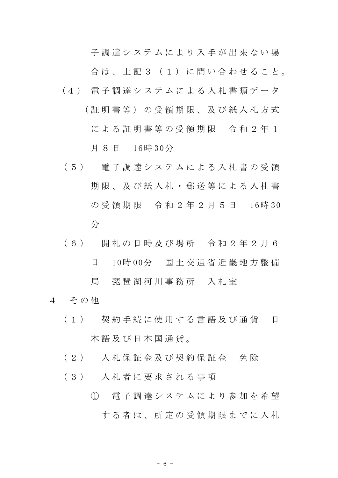子調達システムにより入手が出来ない場

合は、上記3 (1) に問い合わせること。

- (4 ) 電 子 調 達 シ ス テ ム に よ る 入 札 書 類 デ ー タ ( 証 明 書 等 ) の 受 領 期 限 、 及 び 紙 入 札 方 式 による証明書等の受領期限 令和2年1 月 8 日 16時 30分
- ( 5 ) 電 子 調 達 シ ス テ ム に よ る 入 札 書 の 受 領 期 限 、 及 び 紙 入 札 ・ 郵 送 等 に よ る 入 札 書 の 受 領 期 限 令 和 2 年 2 月 5 日 16時 30 分
- ( 6 ) 開 札 の 日 時 及 び 場 所 令 和 2 年 2 月 6 日 10時 00分 国 土 交 通 省 近 畿 地 方 整 備 局 琵琶湖河川事務所 入札室
- 4 その他
	- ( 1 ) 契 約 手 続 に 使 用 す る 言 語 及 び 通 貨 日 本 語 及 び 日 本 国 通 貨 。
	- ( 2 ) 入 札 保 証 金 及 び 契 約 保 証 金 免 除
	- ( 3 ) 入 札 者 に 要 求 さ れ る 事 項
		- ① 電 子 調 達 シ ス テ ム に よ り 参 加 を 希 望 する者は、所定の受領期限までに入札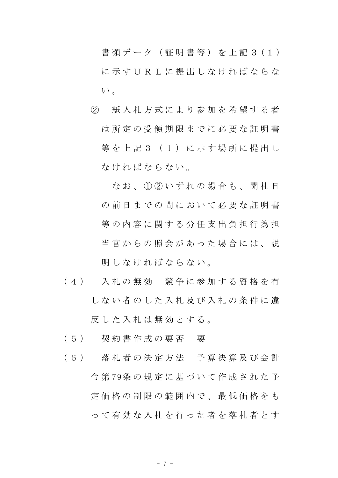書 類 デ ー タ ( 証 明 書 等 ) を 上 記 3 ( 1 ) に示す U R L に 提 出 し な け れ ば な ら な い。

② 紙 入 札 方 式 に よ り 参 加 を 希 望 す る 者 は所定の受領期限までに必要な証明書 等を上記3 (1) に示す場所に提出し なければならない。

なお、① ② いずれの場合も、開札日 の 前 日 ま で の 間 に お い て 必 要 な 証 明 書 等の内容に関する分任支出負担行為担 当官からの照会があった場合には、説 明 しな けれ ば な ら な い 。

- ( 4 ) 入 札 の 無 効 競 争 に 参 加 す る 資 格 を 有 し な い 者 の し た 入 札 及 び 入 札 の 条 件 に 違 反 した 入札 は 無 効 と す る。
- ( 5 ) 契 約 書 作 成 の 要 否 要
- ( 6 ) 落 札 者 の 決 定 方 法 予 算 決 算 及 び 会 計 令 第 79条 の 規 定 に 基 づ い て 作 成 さ れ た 予 定 価 格 の 制 限 の 範 囲 内 で 、 最 低 価 格 を も って 有 効 な 入 札 を 行 っ た 者 を 落 札 者 と す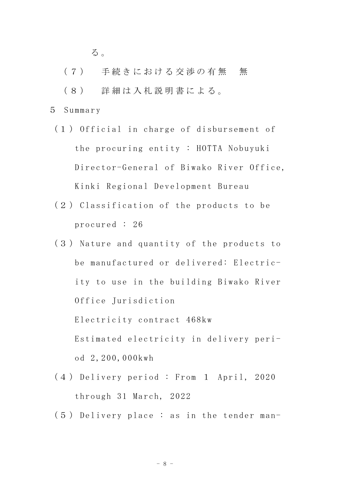る 。

- (7) 手続きにおける交渉の有無 無
- ( 8 ) 詳 細 は 入 札 説 明 書 に よ る 。
- 5 Summary
	- (1 ) Official in charge of disbursement of the procuring entity : HOTTA Nobuyuki Director-General of Biwako River Office, Kinki Regional Development Bureau
	- (2 ) Classification of the products to be procured : 26
	- (3 ) Nature and quantity of the products to be manufactured or delivered: Electricity to use in the building Biwako River Office Jurisdiction Electricity contract 468kw Estimated electricity in delivery period 2,200,000kwh
	- (4 ) Delivery period : From 1 April, 2020 through 31 March, 2022
	- (5 ) Delivery place : as in the tender man-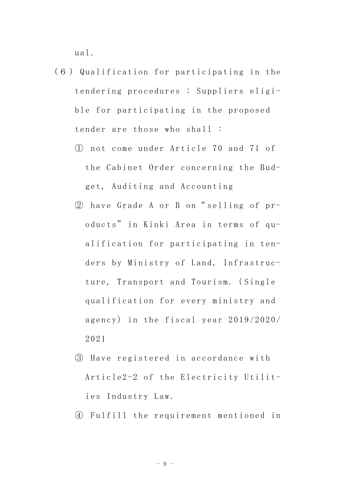ual.

- (6 ) Qualification for participating in the tendering procedures : Suppliers eligible for participating in the proposed tender are those who shall :
	- ① not come under Article 70 and 71 of the Cabinet Order concerning the Budget, Auditing and Accounting
	- ② have Grade A or B on" selling of products" in Kinki Area in terms of qualification for participating in tenders by Ministry of Land, Infrastructure, Transport and Tourism.( Single qualification for every ministry and agency) in the fiscal year 2019/2020/ 2021
	- ③ Have registered in accordance with Article2-2 of the Electricity Utilities Industry Law.
	- ④ Fulfill the requirement mentioned in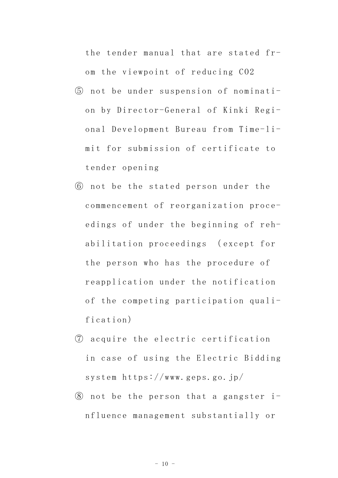the tender manual that are stated from the viewpoint of reducing CO2

- ⑤ not be under suspension of nomination by Director-General of Kinki Regional Development Bureau from Time-limit for submission of certificate to tender opening
- ⑥ not be the stated person under the commencement of reorganization proceedings of under the beginning of rehabilitation proceedings ( except for the person who has the procedure of reapplication under the notification of the competing participation qualification)
- ⑦ acquire the electric certification in case of using the Electric Bidding system https://www.geps.go.jp/
- ⑧ not be the person that a gangster influence management substantially or